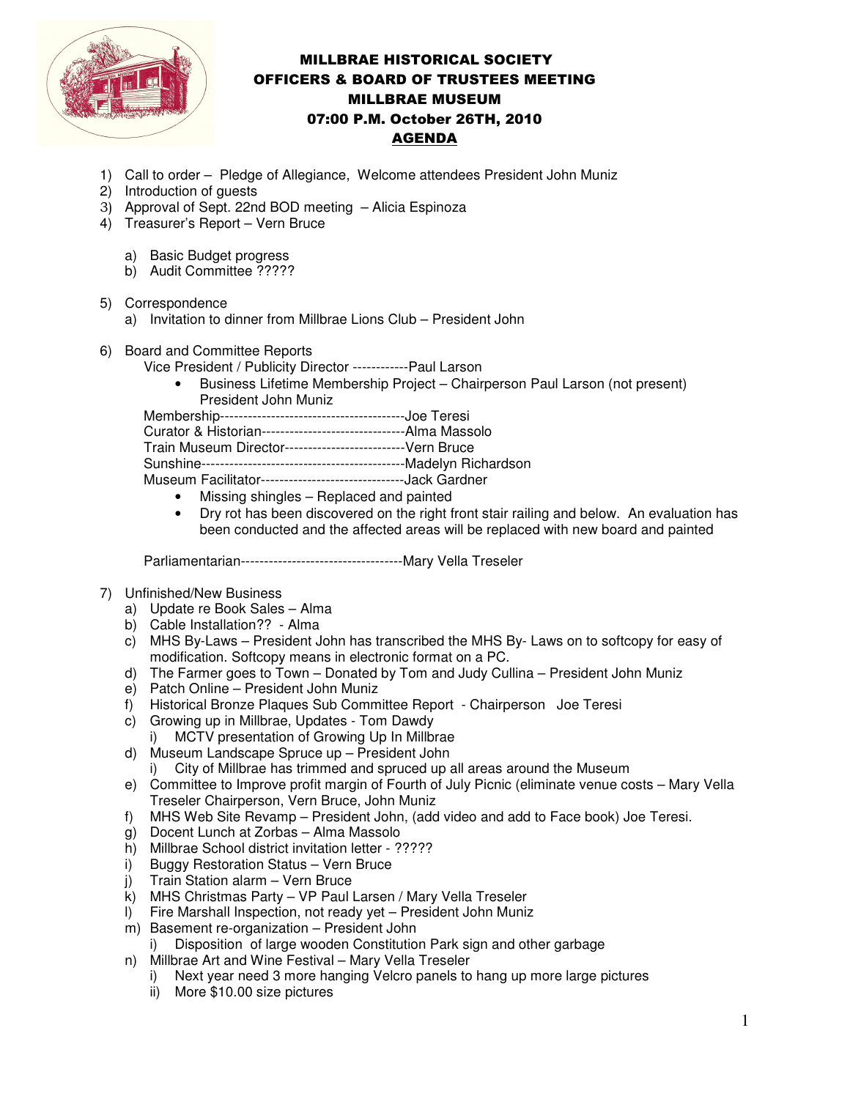

## MILLBRAE HISTORICAL SOCIETY OFFICERS & BOARD OF TRUSTEES MEETING MILLBRAE MUSEUM 07:00 P.M. October 26TH, 2010 AGENDA

- 1) Call to order Pledge of Allegiance, Welcome attendees President John Muniz
- 2) Introduction of guests
- 3) Approval of Sept. 22nd BOD meeting Alicia Espinoza
- 4) Treasurer's Report Vern Bruce
	- a) Basic Budget progress
	- b) Audit Committee ?????
- 5) Correspondence
	- a) Invitation to dinner from Millbrae Lions Club President John
- 6) Board and Committee Reports

Vice President / Publicity Director ------------Paul Larson

• Business Lifetime Membership Project – Chairperson Paul Larson (not present) President John Muniz Membership----------------------------------------Joe Teresi

Curator & Historian-------------------------------Alma Massolo

Train Museum Director--------------------------Vern Bruce

Sunshine--------------------------------------------Madelyn Richardson

Museum Facilitator-------------------------------Jack Gardner

- Missing shingles Replaced and painted
- Dry rot has been discovered on the right front stair railing and below. An evaluation has been conducted and the affected areas will be replaced with new board and painted

Parliamentarian-----------------------------------Mary Vella Treseler

- 7) Unfinished/New Business
	- a) Update re Book Sales Alma
	- b) Cable Installation?? Alma
	- c) MHS By-Laws President John has transcribed the MHS By- Laws on to softcopy for easy of modification. Softcopy means in electronic format on a PC.
	- d) The Farmer goes to Town Donated by Tom and Judy Cullina President John Muniz
	- e) Patch Online President John Muniz
	- f) Historical Bronze Plaques Sub Committee Report Chairperson Joe Teresi
	- c) Growing up in Millbrae, Updates Tom Dawdy
		- i) MCTV presentation of Growing Up In Millbrae
	- d) Museum Landscape Spruce up President John
		- i) City of Millbrae has trimmed and spruced up all areas around the Museum
	- e) Committee to Improve profit margin of Fourth of July Picnic (eliminate venue costs Mary Vella Treseler Chairperson, Vern Bruce, John Muniz
	- f) MHS Web Site Revamp President John, (add video and add to Face book) Joe Teresi.
	- g) Docent Lunch at Zorbas Alma Massolo
	- h) Millbrae School district invitation letter ?????
	- i) Buggy Restoration Status Vern Bruce
	- j) Train Station alarm Vern Bruce
	- k) MHS Christmas Party VP Paul Larsen / Mary Vella Treseler
	- l) Fire Marshall Inspection, not ready yet President John Muniz
	- m) Basement re-organization President John
		- i) Disposition of large wooden Constitution Park sign and other garbage
	- n) Millbrae Art and Wine Festival Mary Vella Treseler
		- i) Next year need 3 more hanging Velcro panels to hang up more large pictures
		- ii) More \$10.00 size pictures